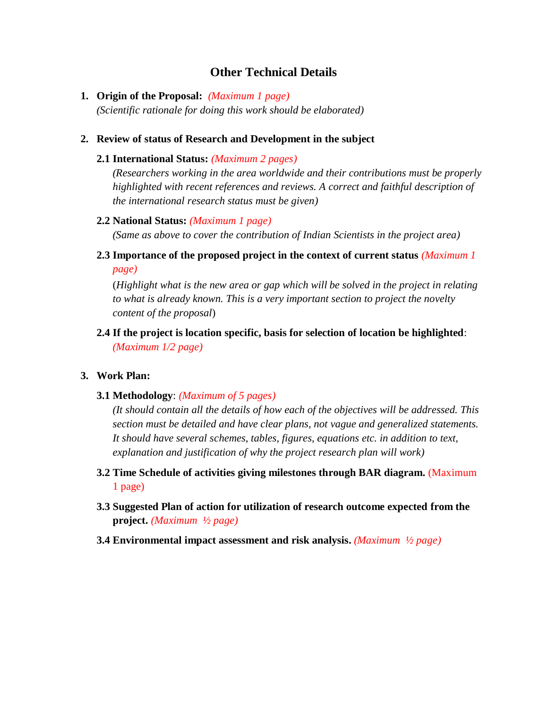# **Other Technical Details**

**1. Origin of the Proposal:** *(Maximum 1 page) (Scientific rationale for doing this work should be elaborated)*

### **2. Review of status of Research and Development in the subject**

### **2.1 International Status:** *(Maximum 2 pages)*

*(Researchers working in the area worldwide and their contributions must be properly highlighted with recent references and reviews. A correct and faithful description of the international research status must be given)*

### **2.2 National Status:** *(Maximum 1 page)*

*(Same as above to cover the contribution of Indian Scientists in the project area)*

**2.3 Importance of the proposed project in the context of current status** *(Maximum 1 page)*

(*Highlight what is the new area or gap which will be solved in the project in relating to what is already known. This is a very important section to project the novelty content of the proposal*)

**2.4 If the project is location specific, basis for selection of location be highlighted**: *(Maximum 1/2 page)*

### **3. Work Plan:**

**3.1 Methodology**: *(Maximum of 5 pages)*

*(It should contain all the details of how each of the objectives will be addressed. This section must be detailed and have clear plans, not vague and generalized statements. It should have several schemes, tables, figures, equations etc. in addition to text, explanation and justification of why the project research plan will work)*

- **3.2 Time Schedule of activities giving milestones through BAR diagram.** (Maximum 1 page)
- **3.3 Suggested Plan of action for utilization of research outcome expected from the project.** *(Maximum ½ page)*
- **3.4 Environmental impact assessment and risk analysis.** *(Maximum ½ page)*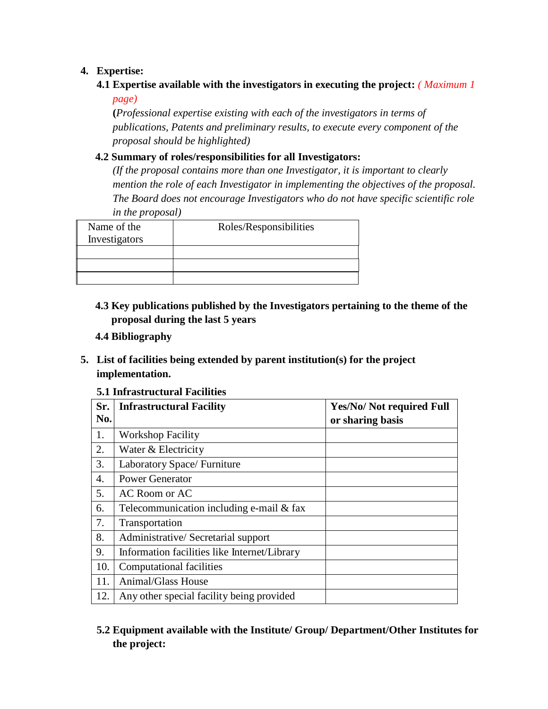## **4. Expertise:**

## **4.1 Expertise available with the investigators in executing the project:** *( Maximum 1*

*page)*

**(***Professional expertise existing with each of the investigators in terms of publications, Patents and preliminary results, to execute every component of the proposal should be highlighted)*

## **4.2 Summary of roles/responsibilities for all Investigators:**

*(If the proposal contains more than one Investigator, it is important to clearly mention the role of each Investigator in implementing the objectives of the proposal. The Board does not encourage Investigators who do not have specific scientific role in the proposal)*

| Name of the<br>Investigators | Roles/Responsibilities |
|------------------------------|------------------------|
|                              |                        |
|                              |                        |
|                              |                        |
|                              |                        |

- **4.3 Key publications published by the Investigators pertaining to the theme of the proposal during the last 5 years**
- **4.4 Bibliography**
- **5. List of facilities being extended by parent institution(s) for the project implementation.**

### **5.1 Infrastructural Facilities**

| Sr.<br>No.       | <b>Infrastructural Facility</b>              | <b>Yes/No/ Not required Full</b><br>or sharing basis |
|------------------|----------------------------------------------|------------------------------------------------------|
| 1.               | <b>Workshop Facility</b>                     |                                                      |
| 2.               | Water & Electricity                          |                                                      |
| 3.               | Laboratory Space/Furniture                   |                                                      |
| $\overline{4}$ . | <b>Power Generator</b>                       |                                                      |
| 5.               | AC Room or AC                                |                                                      |
| 6.               | Telecommunication including e-mail & fax     |                                                      |
| 7.               | Transportation                               |                                                      |
| 8.               | Administrative/ Secretarial support          |                                                      |
| 9.               | Information facilities like Internet/Library |                                                      |
| 10.              | <b>Computational facilities</b>              |                                                      |
| 11.              | Animal/Glass House                           |                                                      |
| 12.              | Any other special facility being provided    |                                                      |

# **5.2 Equipment available with the Institute/ Group/ Department/Other Institutes for the project:**